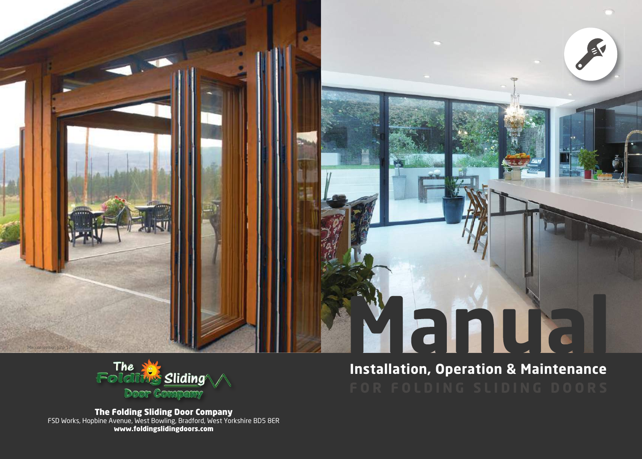# **Yamua** Manual revision lune 17



The Folding Sliding Door Company FSD Works, Hopbine Avenue, West Bowling, Bradford, West Yorkshire BD5 8ER www.foldingslidingdoors.com

**Installation, Operation & Maintenance**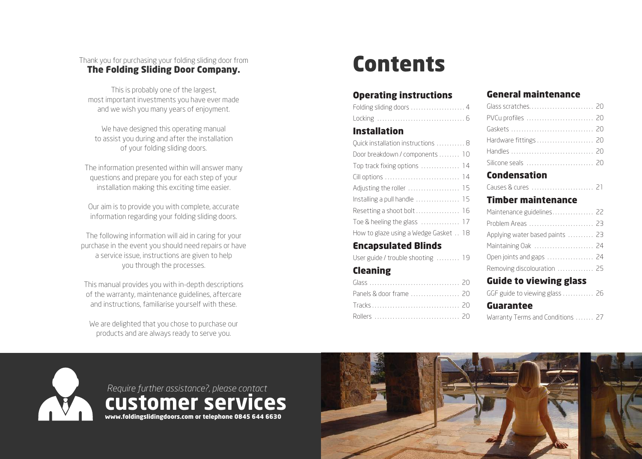### Thank you for purchasing your folding sliding door from The Folding Sliding Door Company.

This is probably one of the largest, most important investments you have ever made and we wish you many years of enjoyment.

We have designed this operating manual to assist you during and after the installation of your folding sliding doors.

The information presented within will answer many questions and prepare you for each step of your installation making this exciting time easier.

Our aim is to provide you with complete, accurate information regarding your folding sliding doors.

The following information will aid in caring for your purchase in the event you should need repairs or have a service issue, instructions are given to help you through the processes.

This manual provides you with in-depth descriptions of the warranty, maintenance guidelines, aftercare and instructions, familiarise yourself with these.

We are delighted that you chose to purchase our products and are always ready to serve you.

# **Contents**

## Operating instructions

| Folding sliding doors $\ldots \ldots \ldots \ldots \ldots \ldots$ |  |
|-------------------------------------------------------------------|--|
|                                                                   |  |

## Installation

| Quick installation instructions  8    |
|---------------------------------------|
| Door breakdown / components  10       |
| Top track fixing options  14          |
|                                       |
|                                       |
| Installing a pull handle  15          |
| Resetting a shoot bolt 16             |
| Toe & heeling the glass  17           |
| How to glaze using a Wedge Gasket  18 |
|                                       |

## Encapsulated Blinds

| User guide / trouble shooting  19 |  |  |
|-----------------------------------|--|--|
|-----------------------------------|--|--|

## Cleaning

## General maintenance

| PVCu profiles  20     |  |
|-----------------------|--|
|                       |  |
| Hardware fittings  20 |  |
|                       |  |
| Silicone seals  20    |  |

## Condensation

|--|--|--|

## Timber maintenance

| Maintenance guidelines 22       |  |
|---------------------------------|--|
|                                 |  |
| Applying water based paints  23 |  |
| Maintaining Oak  24             |  |
| Open joints and gaps  24        |  |
| Removing discolouration  25     |  |

## Guide to viewing glass

| GGF guide to viewing glass  26   |  |
|----------------------------------|--|
| <b>Guarantee</b>                 |  |
| Warranty Terms and Conditions 27 |  |



# *Require further assistance?, please contact* **customer services**



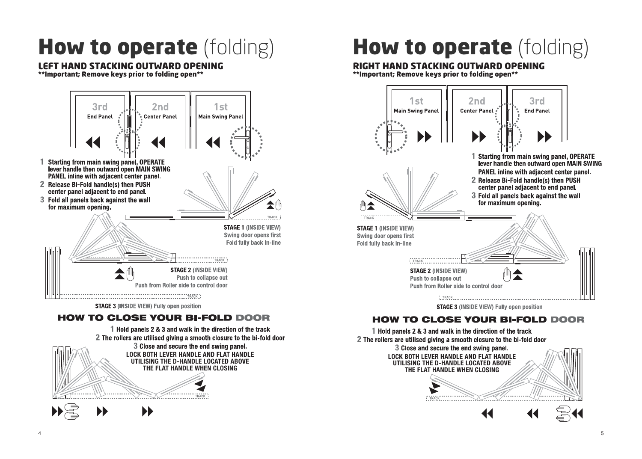# **How to operate** (folding)

# LEFT HAND STACKING OUTWARD OPENING

\*\*Important; Remove keys prior to folding open\*\*



## **HOW TO CLOSE YOUR BI-FOLD DOOR**



# How to operate (folding)

#### RIGHT HAND STACKING OUTWARD OPENING \*\*Important; Remove keys prior to folding open\*\*



**UTILISING THE D-HANDLE LOCATED ABOVE THE FLAT HANDLE WHEN CLOSING**

**TRACK**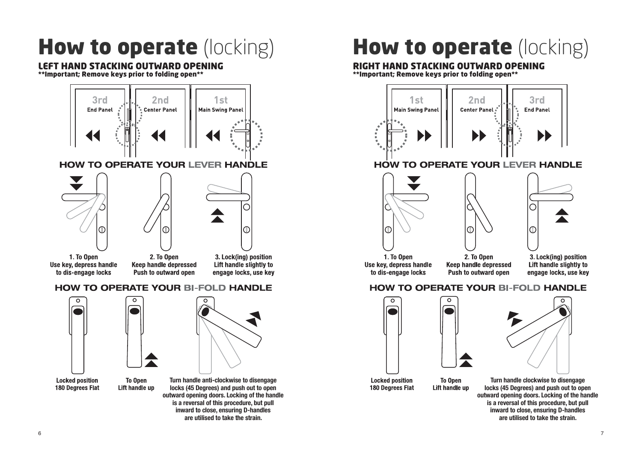# How to operate (locking)

## LEFT HAND STACKING OUTWARD OPENING

\*\*Important; Remove keys prior to folding open\*\*



## **HOW TO OPERATE YOUR BI-FOLD HANDLE**





**Locked position 180 Degrees Flat** 

To Open Lift handle up

 $\circ$ 

**Turn handle anti-clockwise to disengage locks (45 Degrees) and push out to open outward opening doors. Locking of the handle is a reversal of this procedure, but pull inward to close, ensuring D-handles are utilised to take the strain.**

# How to operate (locking)

#### RIGHT HAND STACKING OUTWARD OPENING \*\*Important; Remove keys prior to folding open\*\*



## **HOW TO OPERATE YOUR LEVER HANDLE**





Use key, depress handle to dis-engage locks

3. Lock(ing) position Lift handle slightly to engage locks, use key

## **HOW TO OPERATE YOUR BI-FOLD HANDLE**





**Locked position** 180 Degrees Flat

To Open Lift handle up

**Turn handle clockwise to disengage locks (45 Degrees) and push out to open outward opening doors. Locking of the handle is a reversal of this procedure, but pull inward to close, ensuring D-handles are utilised to take the strain.**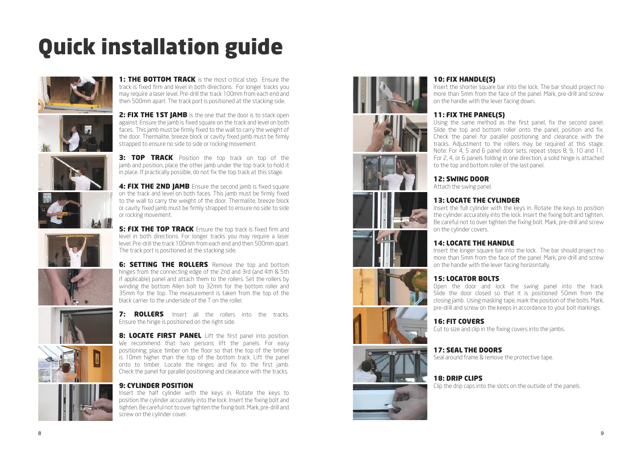# Quick installation guide





**1: THE BOTTOM TRACK** is the most critical step. Ensure the track is fixed firm and level in both directions. For longer tracks you may require a laser level. Pre-drill the track 100mm from each end and then 500mm apart. The track port is positioned at the stacking side.

2: FIX THE 1ST JAMB is the one that the door is to stack open against. Ensure the jamb is fixed square on the track and level on both faces. This jamb must be firmly fixed to the wall to carry the weight of the door. Thermalite, breeze block or cavity fixed jamb must be firmly strapped to ensure no side to side or rocking movement.



**3: TOP TRACK** Position the top track on top of the jamb and position, place the other jamb under the top track to hold it in place. If practically possible, do not fix the top track at this stage.

4: FIX THE 2ND JAMB Ensure the second jamb is fixed square on the track and level on both faces. This jamb must be firmly fixed to the wall to carry the weight of the door. Thermalite, breeze block or cavity fixed jamb must be firmly strapped to ensure no side to side or rocking movement.

**5: FIX THE TOP TRACK** Ensure the top track is fixed firm and level in both directions. For longer tracks you may require a laser level. Pre-drill the track 100mm from each end and then 500mm apart.



The track port is positioned at the stacking side. **6: SETTING THE ROLLERS** Remove the top and bottom hinges from the connecting edge of the 2nd and 3rd (and 4th & 5th if applicable) panel and attach them to the rollers. Set the rollers by winding the bottom Allen bolt to 32mm for the bottom roller and 35mm for the top. The measurement is taken from the top of the



7: ROLLERS Insert all the rollers into the tracks. Ensure the hinge is positioned on the right side.

black carrier to the underside of the T on the roller.

8: LOCATE FIRST PANEL Lift the first panel into position. We recommend that two persons lift the panels. For easy positioning, place timber on the floor so that the top of the timber is 10mm higher than the top of the bottom track. Lift the panel onto to timber. Locate the hinges and fix to the first jamb. Check the panel for parallel positioning and clearance with the tracks.

#### 9: CYLINDER POSITION

Insert the half cylinder with the keys in. Rotate the keys to position the cylinder accurately into the lock. Insert the fixing bolt and tighten. Be careful not to over tighten the fixing bolt. Mark, pre-drill and screw on the cylinder cover.





#### 10: FIX HANDLE(S)

Insert the shorter square bar into the lock. The bar should project no more than 5mm from the face of the panel. Mark, pre-drill and screw on the handle with the lever facing down.

#### 11: FIX THE PANEL(S)

Using the same method as the first panel, fix the second panel. Slide the top and bottom roller onto the panel, position and fix. Check the panel for parallel positioning and clearance with the tracks. Adjustment to the rollers may be required at this stage. Note: For 4, 5 and 6 panel door sets, repeat steps 8, 9, 10 and 11. For 2, 4, or 6 panels folding in one direction, a solid hinge is attached to the top and bottom roller of the last panel.

#### 12: SWING DOOR

Attach the swing panel.

#### 13: LOCATE THE CYLINDER

Insert the full cylinder with the keys in. Rotate the keys to position the cylinder accurately into the lock. Insert the fixing bolt and tighten. Be careful not to over tighten the fixing bolt. Mark, pre-drill and screw on the cylinder covers.

#### 14: LOCATE THE HANDLE

Insert the longer square bar into the lock. The bar should project no more than 5mm from the face of the panel. Mark, pre-drill and screw on the handle with the lever facing horizontally.

#### 15: LOCATOR BOLTS

Open the door and lock the swing panel into the track. Slide the door closed so that it is positioned 50mm from the closing jamb. Using masking tape, mark the position of the bolts. Mark, pre-drill and screw on the keeps in accordance to your bolt markings.

#### 16: FIT COVERS

Cut to size and clip in the fixing covers into the jambs.

## 17: SEAL THE DOORS

Seal around frame & remove the protective tape.

#### 18: DRIP CLIPS

Clip the drip caps into the slots on the outside of the panels.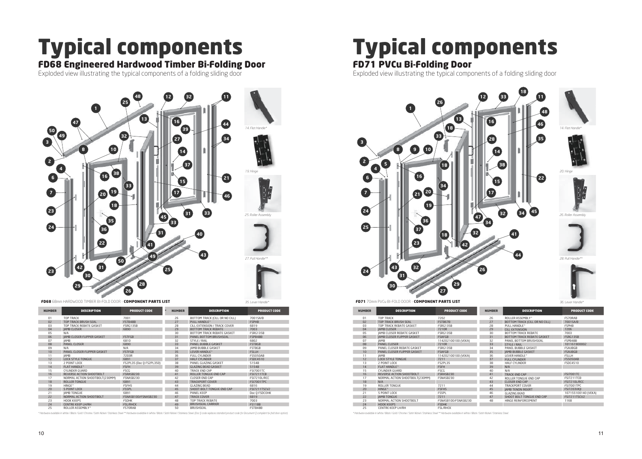# Typical components

FD68 Engineered Hardwood Timber Bi-Folding Door

Exploded view illustrating the typical components of a folding sliding door



FD68 68mm HARDWOOD TIMBER BI-FOLD DOOR - COMPONENT PARTS LIST

*35. Lever Handle\**

| <b>NUMBER</b>  | <b>DESCRIPTION</b>                                                                                                                                                                                                             | <b>PRODUCT CODE</b>      | <b>NUMBER</b> | <b>DESCRIPTION</b>                | <b>PRODUCT CODE</b> |
|----------------|--------------------------------------------------------------------------------------------------------------------------------------------------------------------------------------------------------------------------------|--------------------------|---------------|-----------------------------------|---------------------|
| 01             | <b>TOP TRACK</b>                                                                                                                                                                                                               | 7001                     | 26            | BOTTOM TRACK (CILL OR NO CILL)    | 7001 SA/B           |
| 0 <sub>2</sub> | TOP TRACK BRUSH SFAL                                                                                                                                                                                                           | FSTR48B                  | 27            | PULL HANDLE*                      | <b>FSPHR</b>        |
| 03             | TOP TRACK REBATE GASKET                                                                                                                                                                                                        | <b>FSRG135B</b>          | 28            | CILL EXTENSION / TRACK COVER      | 6819                |
| 04             | <b>IAMB CLOSER</b>                                                                                                                                                                                                             | 6890                     | 29            | <b>BOTTOM TRACK REBATE</b>        | 7003                |
| 05             | N/A                                                                                                                                                                                                                            |                          | 30            | <b>BOTTOM TRACK REBATE GASKET</b> | <b>FSRG135B</b>     |
| 06             | <b>IAMB CLOSER FLIPPER GASKET</b>                                                                                                                                                                                              | <b>FSTFGB</b>            | 31            | PANEL BOTTOM BRUSHSEAL            | FSPB48B             |
| 07             | <b>JAMB</b>                                                                                                                                                                                                                    | 6810                     | 32            | STYLE / RAIL                      | 6802                |
| 08             | PANFL CLOSER                                                                                                                                                                                                                   | 6890                     | 33            | PANEL BUBBLE GASKET               | <b>FSTBGB</b>       |
| 09             | N/A                                                                                                                                                                                                                            | N/A                      | 34            | <b>IAMB BUBBLE GASKET</b>         | <b>FSTRGB</b>       |
| 10             | PANEL CLOSER FLIPPER GASKET                                                                                                                                                                                                    | <b>FSTFGB</b>            | 35            | LEVER HANDLE*                     | <b>FSLLH</b>        |
| 11             | <b>IAMB</b>                                                                                                                                                                                                                    | 7203R                    | 36            | <b>FULL CYLINDER</b>              | <b>FS5050AB</b>     |
| 12             | LOCK STYLE TONGUE                                                                                                                                                                                                              | 6891                     | 37            | HAI F CYLINDER                    | <b>FSDC4510</b>     |
| 13             | 2 POINT LOCK                                                                                                                                                                                                                   | FS2PL35 (Doc Q FS2PL350) | 38            | PANEL GLAZING GASKET              | 5154B               |
| 14             | FI AT HANDI F*                                                                                                                                                                                                                 | <b>FSFH</b>              | 39            | GLAZING BEAD GASKET               | 5154B               |
| 15             | <b>CYLINDER GUARD</b>                                                                                                                                                                                                          | FSCG                     | 40            | TRACK END CAP                     | <b>FSI7001TC</b>    |
| 16             | REVERSE ACTION SHOOTBOLT                                                                                                                                                                                                       | FSRASB230                | 41            | ROLLER TONGUE END CAP             | <b>FSI7211TCB</b>   |
| 17             | NORMAL ACTION SHOOTBOLT(230MM)                                                                                                                                                                                                 | FSNASB230                | 42            | CLOSER END CAP                    | <b>FSI7210L/RCC</b> |
| 18             | ROLLER TONGUE                                                                                                                                                                                                                  | 6891                     | 43            | <b>TRACKPORT COVER</b>            | FSI7001TPC          |
| 19             | HINGE*                                                                                                                                                                                                                         | FSFH5                    | 44            | <b>GLAZING BEAD</b>               | 6816                |
| 20             | 5 POINT LOCK                                                                                                                                                                                                                   | <b>FS5PL</b>             | 45            | SHOOT BOLT TONGUE END CAP         | <b>FSI7211TSCV2</b> |
| 21             | <b>IAMB TONGUE</b>                                                                                                                                                                                                             | 6891                     | 46            | PANFI KFFP                        | Doc O FSDCOHK       |
| 22             | NORMAL ACTION SHOOTBOLT                                                                                                                                                                                                        | FSNASB100/FSNASB230      | 47            | <b>TRACK COVER</b>                | 6819                |
| 23             | <b>HOOK KEEPS</b>                                                                                                                                                                                                              | <b>FSDHK</b>             | 48            | <b>TOP TRACK REBATE</b>           | 7003                |
| 24             | <b>CENTRE KEEP LH/RH</b>                                                                                                                                                                                                       | <b>FSL/RHCK</b>          | 49            | <b>BRUSHSEAL CARRIER</b>          | <b>FS118B</b>       |
| 25             | ROLLER ASSEMBLY*                                                                                                                                                                                                               | FS70RAB                  | 50            | <b>BRUSHSFAL</b>                  | FSTR48B             |
|                | " Hardware available in White / Black / Gold / Chrome / Satin Nickel / Stainless Steel ** Hardware available in White / Black / Satin Nickel / Stainless Steel (Doc Q code replaces standard product code for Document Q compl |                          |               |                                   |                     |

Typical components

## FD71 PVCu Bi-Folding Door

Exploded view illustrating the typical components of a folding sliding door



FD71 70mm PVCu BI-FOLD DOOR - COMPONENT PARTS LIST

*36. Lever Handle\**

| <b>NUMBER</b> | <b>DESCRIPTION</b>                | <b>PRODUCT CODE</b> | <b>NUMBER</b> | <b>DESCRIPTION</b>                | <b>PRODUCT CODE</b> |
|---------------|-----------------------------------|---------------------|---------------|-----------------------------------|---------------------|
| 01            | <b>TOP TRACK</b>                  | 7202                | 26            | ROLLER ASSEMBLY*                  | FS70RAB             |
| 02            | TOP TRACK BRUSH SFAL              | <b>FSTR67B</b>      | 27            | BOTTOM TRACK (CILL OR NO CILL)    | 7001SA/B            |
| 03            | TOP TRACK REBATE GASKET           | FSRG135B            | 28            | PULL HANDLE*                      | <b>FSPHR</b>        |
| 04            | <b>JAMB CLOSER</b>                | 7210R               | 29            | CILL EXTENSION                    | 7206                |
| 05            | <b>IAMB CLOSER REBATE GASKET</b>  | FSRG135B            | 30            | <b>BOTTOM TRACK REBATE</b>        | 7003                |
| 06            | <b>IAMB CLOSER FLIPPER GASKET</b> | <b>FSAFGB</b>       | 31            | <b>BOTTOM TRACK REBATE GASKET</b> | FSRG135B            |
| 07            | <b>JAMB</b>                       | 114202100100 (VEKA) | 32            | PANFI BOTTOM BRUSHSFAL            | FSPR48B             |
| 08            | PANEL CLOSER                      | 7210R               | 33            | STYLE / RAIL                      | 101161900002        |
| 09            | PANEL CLOSER REBATE GASKET        | FSRG135B            | 34            | PANEL BURBLE GASKET               | <b>FSAURGB</b>      |
| 10            | PANEL CLOSER FLIPPER GASKET       | <b>FSAFGB</b>       | 35            | <b>IAMB BUBBLE GASKET</b>         | <b>FSAUBGB</b>      |
| 11            | <b>IAMB</b>                       | 114202100100 (VEKA) | 36            | I FVER HANDLE*                    | <b>FSIIH</b>        |
| 12            | <b>LOCK STYLE TONGUE</b>          | 7211                | 37            | FULL CYLINDER                     | <b>FS5050AB</b>     |
| 13            | 2 POINT LOCK                      | <b>FS2PL35</b>      | 38            | HALF CYLINDER                     | FSDC4510            |
| 14            | FI AT HANDI F*                    | <b>FSFH</b>         | 39            | N/A                               |                     |
| 15            | CYLINDER GUARD                    | FSCG                | 40            | N/A                               |                     |
| 16            | REVERSE ACTION SHOOTBOLT          | FSRASB230           | 41            | <b>TRACK FND CAP</b>              | <b>FSI7001TC</b>    |
| 17            | NORMAL ACTION SHOOTBOLT(230MM)    | FSNASB230           | 42            | ROLLER TONGUE END CAP             | <b>FSI7211TCB</b>   |
| 18            | N/A                               |                     | 43            | CLOSER END CAP                    | <b>FSI7210L/RCC</b> |
| 19            | ROLLER TONGUE                     | 7211                | 44            | <b>TRACKPORT COVER</b>            | FSI7001TPC          |
| 20            | HINGE <sup>*</sup>                | FSFH <sub>5</sub>   | 45            | <b>IAMB TENON INSERT</b>          | <b>FSI7203VKJI</b>  |
| 21            | 5 POINT LOCK                      | <b>FS5PL</b>        | 46            | GLAZING BEAD                      | 107155100140 (VEKA) |
| 22            | <b>IAMB TONGUE</b>                | 7211                | 47            | SHOOT BOLT TONGUE END CAP         | FSI7211TSCV2        |
| 23            | NORMAL ACTION SHOOTBOLT           | FSNASB100/FSNASB230 | 48            | HINGE REINFORCEMENT               | 1168                |
| 24            | <b>HOOK KFFPS</b>                 | <b>FSDHK</b>        |               |                                   |                     |
| 25            | CENTRE KEEP LH/RH                 | <b>FSI/RHCK</b>     |               |                                   |                     |

*\* Hardware available in White / Black / Gold / Chrome / Satin Nickel / Stainless Steel \*\* Hardware available in White / Black / Satin Nickel / Stainless Steel.*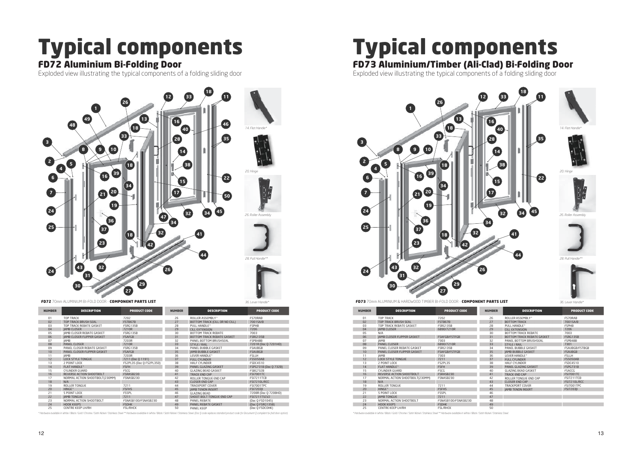# Typical components

## FD72 Aluminium Bi-Folding Door

Exploded view illustrating the typical components of a folding sliding door



FD72 70mm ALUMINIUM BI-FOLD DOOR - COMPONENT PARTS LIST

| <b>NUMBER</b>  | <b>DESCRIPTION</b>                | <b>PRODUCT CODE</b>      | <b>NUMBER</b> | <b>DESCRIPTION</b>                | <b>PRODUCT CODE</b>   |
|----------------|-----------------------------------|--------------------------|---------------|-----------------------------------|-----------------------|
| 01             | <b>TOP TRACK</b>                  | 7202                     | 26            | ROLLER ASSEMBLY*                  | <b>FS70RAB</b>        |
| 0 <sub>2</sub> | TOP TRACK BRUSH SFAL              | <b>FSTB67B</b>           | 27            | BOTTOM TRACK (CILL OR NO CILL)    | 7001SA/B              |
| 03             | TOP TRACK REBATE GASKET           | <b>FSRG135B</b>          | 28            | PULL HANDLE*                      | <b>FSPHR</b>          |
| 04             | <b>IAMB CLOSER</b>                | 7210R                    | 29            | <b>CILL EXTENSION</b>             | 7206                  |
| 05             | <b>IAMB CLOSER REBATE GASKET</b>  | <b>FSRG135B</b>          | 30            | <b>BOTTOM TRACK REBATE</b>        | 7003                  |
| 06             | <b>IAMB CLOSER FLIPPER GASKET</b> | <b>FSAFGB</b>            | 31            | <b>BOTTOM TRACK REBATE GASKET</b> | <b>FSRG135B</b>       |
| 07             | <b>IAMB</b>                       | 7203R                    | 32            | PANFI ROTTOM BRUSHSFAL            | FSPR48B               |
| 08             | PANFL CLOSER                      | 7210R                    | 33            | STYLE / RAIL                      | 7201R (Doc 0 7201HD)  |
| 09             | PANEL CLOSER REBATE GASKET        | <b>FSRG135B</b>          | 34            | PANEL BUBBLE GASKET               | FSAUBGB               |
| 10             | PANEL CLOSER FLIPPER GASKET       | <b>FSAFGB</b>            | 35            | <b>IAMB BUBBLE GASKET</b>         | <b>FSAUBGB</b>        |
| 11             | <b>IAMB</b>                       | 7203R                    | 36            | <b>I FVER HANDLE*</b>             | <b>FSLLH</b>          |
| 12             | <b>LOCK STYLE TONGUE</b>          | 7211 (Doc Q 1191)        | 37            | <b>FULL CYLINDER</b>              | <b>FS5050AB</b>       |
| 13             | 2 POINT LOCK                      | FS2PL35 (Doc Q FS2PL350) | 38            | HAI F CYLINDER                    | <b>FSDC4510</b>       |
| 14             | <b>FLAT HANDLE*</b>               | <b>FSFH</b>              | 39            | PANEL GLAZING GASKET              | FSPG731B (Doc 0 732B) |
| 15             | CYLINDER GUARD                    | <b>FSCG</b>              | 40            | GLAZING BEAD GASKET               | FSBG732B              |
| 16             | REVERSE ACTION SHOOTBOLT          | FSRASB230                | 41            | <b>TRACK END CAP</b>              | <b>FSI7001TC</b>      |
| 17             | NORMAL ACTION SHOOTBOLT(230MM)    | FSNASB230                | 42            | ROLLER TONGUE END CAP             | <b>FSI7211TCB</b>     |
| 18             | N/A                               |                          | 43            | <b>CLOSER END CAP</b>             | FSI7210L/RCC          |
| 19             | <b>ROLLER TONGUE</b>              | 7211                     | 44            | TRACKPORT COVER                   | FSI7001TPC            |
| 20             | HINGF <sup>*</sup>                | FSFH <sub>5</sub>        | 45            | <b>IAMB TENON INSERT</b>          | <b>FSI7203II</b>      |
| 21             | 5 POINT LOCK                      | <b>FS5PL</b>             | 46            | GLAZING BEAD                      | 7208R (Doc Q 7208HD)  |
| 22             | <b>IAMB TONGUE</b>                | 7211                     | 47            | SHOOT BOLT TONGUE END CAP         | <b>FSI7211TSCV2</b>   |
| 23             | NORMAL ACTION SHOOTBOLT           | FSNASB100/FSNASB230      | 48            | PANEL REBATE                      | (Doc Q FSD1045)       |
| 24             | <b>HOOK KEEPS</b>                 | <b>FSDHK</b>             | 49            | PANEL REBATE GASKET               | (Doc Q FSRG135B)      |
| 25             | <b>CENTRE KEEP LH/RH</b>          | <b>FSI /RHCK</b>         | 50            | PANFI KFFP                        | (Doc Q FSDCOHK)       |

*36. Lever Handle\**

Typical components

## FD73 Aluminium/Timber (Ali-Clad) Bi-Folding Door

Exploded view illustrating the typical components of a folding sliding door



FD73 70mm ALUMINIUM & HARDWOOD TIMBER BI-FOLD DOOR - COMPONENT PARTS LIST

*36. Lever Handle\**

| <b>NUMBER</b>  | <b>DESCRIPTION</b>                | <b>PRODUCT CODE</b>  | <b>NUMBER</b> | <b>DESCRIPTION</b>                | <b>PRODUCT CODE</b>   |
|----------------|-----------------------------------|----------------------|---------------|-----------------------------------|-----------------------|
| 01             | <b>TOP TRACK</b>                  | 7202                 | 26            | ROLLER ASSEMBLY*                  | FS70RAB               |
| 0 <sup>2</sup> | TOP TRACK BRUSH SFAL              | <b>FSTB67B</b>       | 27            | <b>BOTTOM TRACK</b>               | 7001SA/B              |
| 03             | TOP TRACK REBATE GASKET           | FSRG135B             | 28            | PULL HANDLE*                      | <b>FSPHR</b>          |
| 04             | <b>IAMB CLOSER</b>                | 6890/7210R           | 29            | CILL EXTENSION                    | 7206                  |
| 05             | N/A                               |                      | 30            | <b>BOTTOM TRACK REBATE</b>        | 7003                  |
| 06             | <b>IAMB CLOSER ELIPPER GASKET</b> | <b>FSAFGB/FSTFGB</b> | 31            | <b>BOTTOM TRACK REBATE GASKET</b> | <b>FSRG135B</b>       |
| 07             | <b>IAMB</b>                       | 7303                 | 32            | PANFI BOTTOM BRUSHSFAL            | FSPR48B               |
| 08             | PANEL CLOSER                      | 6890/7210R           | 33            | STYLE / RAIL                      | 7301                  |
| 09             | PANEL CLOSER REBATE GASKET        | FSRG135B             | 34            | PANEL BURBLE GASKET               | <b>FSAURGB/FSTRGB</b> |
| 10             | PANEL CLOSER FLIPPER GASKET       | <b>FSAEGB/ESTEGB</b> | 35            | <b>IAMB BUBBLE GASKET</b>         | <b>FSAURGB</b>        |
| 11             | <b>IAMB</b>                       | 7303                 | 36            | I FVER HANDLE*                    | <b>FSIIH</b>          |
| 12             | LOCK STYLE TONGUE                 | 7211                 | 37            | FULL CYLINDER                     | <b>FS5050AB</b>       |
| 13             | 2 POINT LOCK                      | <b>FS2PL35</b>       | 38            | HALF CYLINDER                     | FSDC4510              |
| 14             | FI AT HANDLE*                     | <b>FSFH</b>          | 39            | PANEL GLAZING GASKET              | <b>FSPG731B</b>       |
| 15             | CYLINDER GUARD                    | <b>FSCG</b>          | 40            | GLAZING BEAD GASKET               | <b>FSACCG</b>         |
| 16             | REVERSE ACTION SHOOTBOLT          | FSRASB230            | 41            | <b>TRACK FND CAP</b>              | <b>FSI7001TC</b>      |
| 17             | NORMAL ACTION SHOOTBOLT(230MM)    | FSNASB230            | 42            | ROLLER TONGUE END CAP             | <b>FSI7211TCB</b>     |
| 18             | N/A                               |                      | 43            | CLOSER END CAP                    | <b>FSI7210L/RCC</b>   |
| 19             | ROLLER TONGUE                     | 7211                 | 44            | <b>TRACKPORT COVER</b>            | FSI7001TPC            |
| 20             | HINGE <sup>*</sup>                | <b>FSFH5</b>         | 45            | <b>IAMB TENON INSERT</b>          | <b>FSI7203II</b>      |
| 21             | 5 POINT LOCK                      | <b>FS5PL</b>         | 46            |                                   |                       |
| 22             | <b>IAMB TONGUE</b>                | 7211                 | 47            |                                   |                       |
| 23             | NORMAL ACTION SHOOTBOLT           | FSNASB100/FSNASB230  | 48            |                                   |                       |
| 24             | <b>HOOK KFFPS</b>                 | <b>FSDHK</b>         | 49            |                                   |                       |
| 25             | <b>CENTRE KEEP LH/RH</b>          | <b>FSI /RHCK</b>     | 50            |                                   |                       |

*\* Hardware available in White / Black / Gold / Chrome / Satin Nickel / Stainless Steel \*\* Hardware available in White / Black / Satin Nickel / Stainless Steel.*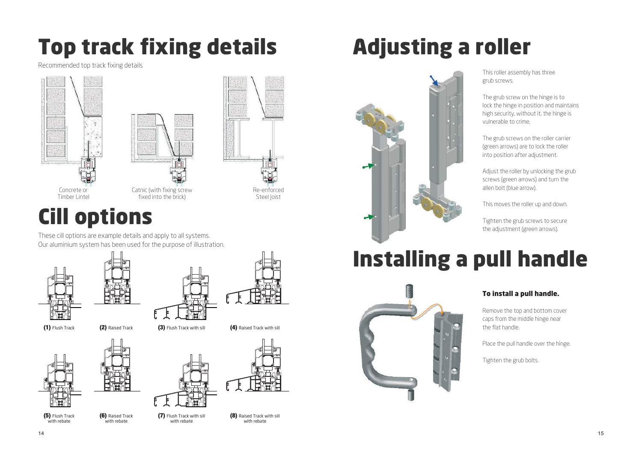# **Top track fixing details**

Recommended top track fixing details







Cill options

These cill options are example details and apply to all systems. Our aluminium system has been used for the purpose of illustration.







**(1)** Flush Track

**(2)** Raised Track

**(6)** Raised Track with rebate

**(3)** Flush Track with sill



**(7)** Flush Track with sill with rebate



**(4)** Raised Track with sill

# Adjusting a roller



This roller assembly has three grub screws.

The grub screw on the hinge is to lock the hinge in position and maintains high security, without it, the hinge is vulnerable to crime.

The grub screws on the roller carrier (green arrows) are to lock the roller into position after adjustment.

Adjust the roller by unlocking the grub screws (green arrows) and turn the allen bolt (blue arrow).

This moves the roller up and down.

Tighten the grub screws to secure the adjustment (green arrows).

# Installing a pull handle



#### To install a pull handle.

Remove the top and bottom cover caps from the middle hinge near the flat handle.

Place the pull handle over the hinge.

Tighten the grub bolts.

**(5)** Flush Track with rebate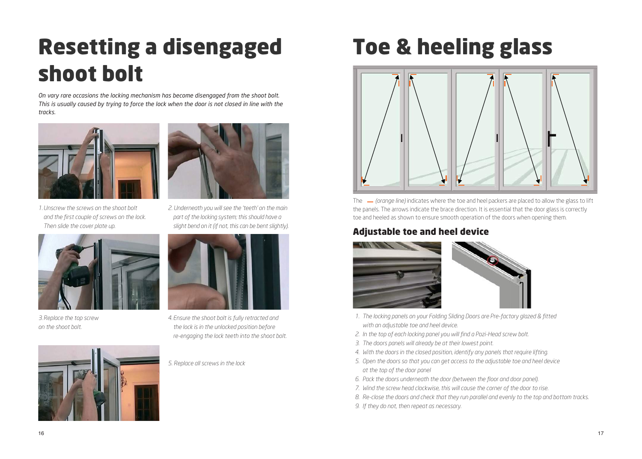# Resetting a disengaged shoot bolt

*On vary rare occasions the locking mechanism has become disengaged from the shoot bolt. This is usually caused by trying to force the lock when the door is not closed in line with the tracks.*



*1. Unscrew the screws on the shoot bolt* and the first couple of screws on the lock.  *Then slide the cover plate up.*



*3. Replace the top screw on the shoot bolt.*





*2. Underneath you will see the 'teeth' on the main part of the locking system; this should have a slight bend on it (if not, this can be bent slightly).*



*4. Ensure the shoot bolt is fully retracted and the lock is in the unlocked position before re-engaging the lock teeth into the shoot bolt.*

*5. Replace all screws in the lock*

# Toe & heeling glass



The *- (orange line)* indicates where the toe and heel packers are placed to allow the glass to lift the panels. The arrows indicate the brace direction. It is essential that the door glass is correctly toe and heeled as shown to ensure smooth operation of the doors when opening them.

## Adjustable toe and heel device





- *1. The locking panels on your Folding Sliding Doors are Pre-factory glazed & fi tted with an adjustable toe and heel device.*
- 2. In the top of each locking panel you will find a Pozi-Head screw bolt.
- *3. The doors panels will already be at their lowest point.*
- *4. With the doors in the closed position, identify any panels that require lifting.*
- *5. Open the doors so that you can get access to the adjustable toe and heel device at the top of the door panel*
- 6. Pack the doors underneath the door (between the floor and door panel).
- *7. Wind the screw head clockwise, this will cause the corner of the door to rise.*
- *8. Re-close the doors and check that they run parallel and evenly to the top and bottom tracks.*
- *9. If they do not, then repeat as necessary.*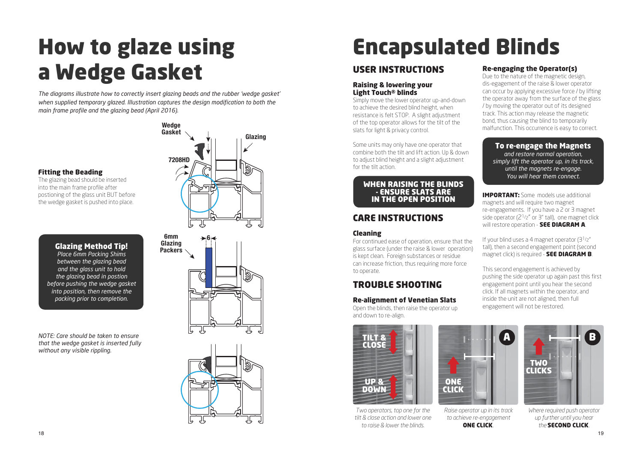# How to glaze using a Wedge Gasket

*The diagrams illustrate how to correctly insert glazing beads and the rubber 'wedge gasket'*  when supplied temporary glazed. Illustration captures the design modification to both the *main frame profile and the glazing bead (April 2016).* 

#### Fitting the Beading

The glazing bead should be inserted into the main frame profile after postioning of the glass unit BUT before the wedge gasket is pushed into place.

#### Glazing Method Tip!

*Place 6mm Packing Shims between the glazing bead and the glass unit to hold the glazing bead in postion before pushing the wedge gasket into position, then remove the packing prior to completion.*

*NOTE: Care should be taken to ensure that the wedge gasket is inserted fully without any visible rippling.*







# Encapsulated Blinds

## USER INSTRUCTIONS

#### Raising & lowering your Light Touch® blinds

Simply move the lower operator up-and-down to achieve the desired blind height, when resistance is felt STOP. A slight adjustment of the top operator allows for the tilt of the slats for light & privacy control.

Some units may only have one operator that combine both the tilt and lift action. Up & down to adjust blind height and a slight adjustment for the tilt action.

#### WHEN RAISING THE BLINDS - ENSURE SLATS ARE IN THE OPEN POSITION

## CARE INSTRUCTIONS

#### Cleaning

For continued ease of operation, ensure that the glass surface (under the raise & lower operation) is kept clean. Foreign substances or residue can increase friction, thus requiring more force to operate.

## TROUBLE SHOOTING

Re-alignment of Venetian Slats

Open the blinds, then raise the operator up and down to re-align.



*Two operators, top one for the tilt & close action and lower one to raise & lower the blinds.*





*Raise operator up in its track to achieve re-engagement*

A

ONE CLICK*.*

#### Re-engaging the Operator(s)

Due to the nature of the magnetic design, dis-egagement of the raise & lower operator can occur by applying excessive force / by lifting the operator away from the surface of the glass / by moving the operator out of its designed track. This action may release the magnetic bond, thus causing the blind to temporarily malfunction. This occurrence is easy to correct.

#### To re-engage the Magnets

*and restore normal operation, simply lift the operator up, in its track, until the magnets re-engage. You will hear them connect.*

IMPORTANT: Some models use additional magnets and will require two magnet re-engagements. If you have a 2 or 3 magnet side operator  $(2^{1/2}$ " or 3" tall), one magnet click will restore operation - SEE DIAGRAM A.

If your blind uses a 4 magnet operator (31/2" tall), then a second engagement point (second magnet click) is required - SEE DIAGRAM B.

This second engagement is achieved by pushing the side operator up again past this first engagement point until you hear the second click. If all magnets within the operator, and inside the unit are not aligned, then full engagement will not be restored.

> TWO CLICKS

*Where required push operator up further until you hear the* SECOND CLICK*.*

B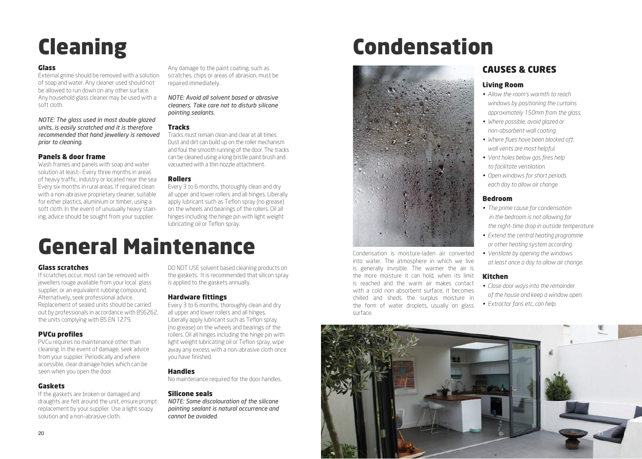# Cleaning

#### Glass

External grime should be removed with a solution of soap and water. Any cleaner used should not be allowed to run down on any other surface. Any household glass cleaner may be used with a soft cloth.

*NOTE: The glass used in most double glazed units, is easily scratched and it is therefore recommended that hand jewellery is removed prior to cleaning.*

#### Panels & door frame

Wash frames and panels with soap and water solution at least:- Every three months in areas of heavy traffic, industry or located near the sea Every six months in rural areas. If required clean with a non-abrasive proprietary cleaner, suitable for either plastics, aluminium or timber, using a soft cloth. In the event of unusually heavy staining, advice should be sought from your supplier.

Any damage to the paint coating, such as scratches, chips or areas of abrasion, must be repaired immediately.

*NOTE: Avoid all solvent based or abrasive cleaners. Take care not to disturb silicone pointing sealants.*

#### **Tracks**

Tracks must remain clean and clear at all times. Dust and dirt can build up on the roller mechanism and foul the smooth running of the door. The tracks can be cleaned using a long bristle paint brush and vacuumed with a thin nozzle attachment.

#### Rollers

Every 3 to 6 months, thoroughly clean and dry all upper and lower rollers and all hinges. Liberally apply lubricant such as Teflon spray (no grease) on the wheels and bearings of the rollers. Oil all hinges including the hinge pin with light weight lubricating oil or Teflon spray.

# General Maintenance

#### Glass scratches

If scratches occur, most can be removed with jewellers rouge available from your local glass supplier, or an equivalent rubbing compound. Alternatively, seek professional advice. Replacement of sealed units should be carried out by professionals in accordance with BS6262, the units complying with BS EN 1279.

#### **PVCu profiles**

PVCu requires no maintenance other than cleaning. In the event of damage, seek advice from your supplier. Periodically and where accessible, clear drainage holes which can be seen when you open the door.

#### Gaskets

If the gaskets are broken or damaged and draughts are felt around the unit, ensure prompt replacement by your supplier. Use a light soapy solution and a non-abrasive cloth.

DO NOT USE solvent based cleaning products on the gaskets. It is recommended that silicon spray is applied to the gaskets annually.

#### **Hardware fittings**

Every 3 to 6 months, thoroughly clean and dry all upper and lower rollers and all hinges. Liberally apply lubricant such as Teflon spray (no grease) on the wheels and bearings of the rollers. Oil all hinges including the hinge pin with light weight lubricating oil or Teflon spray, wipe away any excess with a non-abrasive cloth once you have finished.

#### Handles

No maintenance required for the door handles.

#### Silicone seals

*NOTE: Some discolouration of the silicone pointing sealant is natural occurrence and cannot be avoided.*

# Condensation



Condensation is moisture-laden air converted into water. The atmosphere in which we live is generally invisible. The warmer the air is the more moisture it can hold, when its limit is reached and the warm air makes contact with a cold non absorbent surface, it becomes chilled and sheds the surplus moisture in the form of water droplets, usually on glass surface.

## CAUSES & CURES

#### Living Room

- *Allow the room's warmth to reach windows by positioning the curtains approximately 150mm from the glass.*
- *Where possible, avoid glazed or non-absorbent wall coating.*
- *Where fl ues have been blocked off, wall vents are most helpful.*
- Vent holes below gas fires help  *to facilitate ventilation.*
- *Open windows for short periods each day to allow air change.*

#### Bedroom

- *The prime cause for condensation in the bedroom is not allowing for the night-time drop in outside temperature.*
- *Extend the central heating programme or other heating system according.*
- *Ventilate by opening the windows at least once a day to allow air change.*

#### Kitchen

- *Close door ways into the remainder of the house and keep a window open.*
- *Extractor fans etc, can help.*

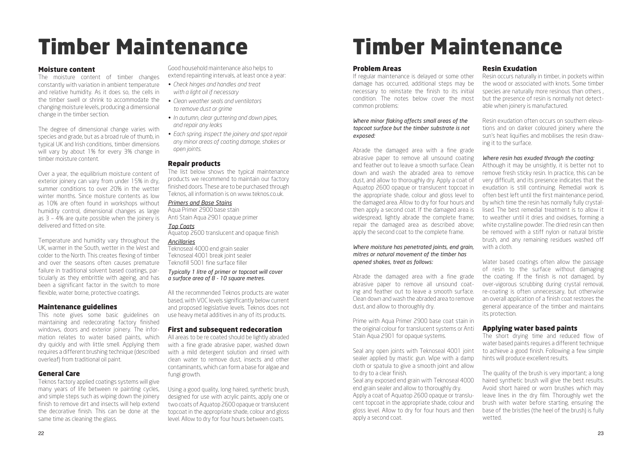# Timber Maintenance Timber Maintenance

#### Moisture content

The moisture content of timber changes constantly with variation in ambient temperature and relative humidity. As it does so, the cells in the timber swell or shrink to accommodate the changing moisture levels, producing a dimensional change in the timber section.

The degree of dimensional change varies with species and grade, but as a broad rule of thumb, in typical UK and Irish conditions, timber dimensions will vary by about 1% for every 3% change in timber moisture content.

Over a year, the equilibrium moisture content of exterior joinery can vary from under 15% in dry, summer conditions to over 20% in the wetter winter months. Since moisture contents as low as 10% are often found in workshops without humidity control, dimensional changes as large as  $3 - 4%$  are quite possible when the joinery is delivered and fitted on site.

Temperature and humidity vary throughout the UK, warmer in the South, wetter in the West and colder to the North. This creates flexing of timber and over the seasons often causes premature failure in traditional solvent based coatings, particularly as they embrittle with ageing, and has been a significant factor in the switch to more flexible, water borne, protective coatings.

#### Maintenance guidelines

This note gives some basic guidelines on maintaining and redecorating factory finished windows, doors and exterior joinery. The information relates to water based paints, which dry quickly and with little smell. Applying them requires a different brushing technique (described overleaf) from traditional oil paint.

#### General Care

Teknos factory applied coatings systems will give many years of life between re painting cycles, and simple steps such as wiping down the joinery finish to remove dirt and insects will help extend the decorative finish. This can be done at the same time as cleaning the glass.

Good household maintenance also helps to extend repainting intervals, at least once a year:

- *Check hinges and handles and treat with a light oil if necessary*
- *Clean weather seals and ventilators to remove dust or grime*
- *In autumn, clear guttering and down pipes, and repair any leaks*
- *Each spring, inspect the joinery and spot repair any minor areas of coating damage, shakes or open joints.*

#### Repair products

The list below shows the typical maintenance products we recommend to maintain our factory finished doors. These are to be purchased through Teknos, all information is on www.teknos.co.uk.

#### *Primers and Base Stains*

Aqua Primer 2900 base stain Anti Stain Aqua 2901 opaque primer

#### *Top Coats*

Aquatop 2600 translucent and opaque finish

#### *Ancillaries*

Teknoseal 4000 end grain sealer Teknoseal 4001 break joint sealer Teknofill 5001 fine surface filler

*Typically 1 litre of primer or topcoat will cover a surface area of 8 - 10 square metres.*

All the recommended Teknos products are water based, with VOC levels significantly below current and proposed legislative levels. Teknos does not use heavy metal additives in any of its products.

#### First and subsequent redecoration

All areas to be re coated should be lightly abraded with a fine grade abrasive paper, washed down with a mild detergent solution and rinsed with clean water to remove dust, insects and other contaminants, which can form a base for algae and fungi growth.

Using a good quality, long haired, synthetic brush, designed for use with acrylic paints, apply one or two coats of Aquatop 2600 opaque or translucent topcoat in the appropriate shade, colour and gloss level. Allow to dry for four hours between coats.

#### Problem Areas

If regular maintenance is delayed or some other damage has occurred, additional steps may be necessary to reinstate the finish to its initial condition. The notes below cover the most common problems:

#### *Where minor flaking affects small areas of the topcoat surface but the timber substrate is not exposed:*

Abrade the damaged area with a fine grade abrasive paper to remove all unsound coating and feather out to leave a smooth surface. Clean down and wash the abraded area to remove dust, and allow to thoroughly dry. Apply a coat of Aquatop 2600 opaque or translucent topcoat in the appropriate shade, colour and gloss level to the damaged area. Allow to dry for four hours and then apply a second coat. If the damaged area is widespread, lightly abrade the complete frame; repair the damaged area as described above; apply the second coat to the complete frame.

#### *Where moisture has penetrated joints, end grain, mitres or natural movement of the timber has opened shakes, treat as follows:*

Abrade the damaged area with a fine grade abrasive paper to remove all unsound coating and feather out to leave a smooth surface. Clean down and wash the abraded area to remove dust, and allow to thoroughly dry.

Prime with Aqua Primer 2900 base coat stain in the original colour for translucent systems or Anti Stain Aqua 2901 for opaque systems.

Seal any open joints with Teknoseal 4001 joint sealer applied by mastic gun. Wipe with a damp cloth or spatula to give a smooth joint and allow to dry to a clear finish.

Seal any exposed end grain with Teknoseal 4000 end grain sealer and allow to thoroughly dry. Apply a coat of Aquatop 2600 opaque or translucent topcoat in the appropriate shade, colour and gloss level. Allow to dry for four hours and then

apply a second coat.

#### Resin Exudation

Resin occurs naturally in timber, in pockets within the wood or associated with knots. Some timber species are naturally more resinous than others , but the presence of resin is normally not detectable when joinery is manufactured.

Resin exudation often occurs on southern elevations and on darker coloured joinery where the sun's heat liquifies and mobilises the resin drawing it to the surface.

#### *Where resin has exuded through the coating:*

Although it may be unsightly, it is better not to remove fresh sticky resin. In practice, this can be very difficult, and its presence indicates that the exudation is still continuing. Remedial work is often best left until the first maintenance period. by which time the resin has normally fully crystallised. The best remedial treatment is to allow it to weather until it dries and oxidises, forming a white crystalline powder. The dried resin can then be removed with a stiff nylon or natural bristle brush, and any remaining residues washed off with a cloth.

Water based coatings often allow the passage of resin to the surface without damaging the coating. If the finish is not damaged, by over-vigorous scrubbing during crystal removal, re-coating is often unnecessary, but otherwise an overall application of a finish coat restores the general appearance of the timber and maintains its protection.

#### Applying water based paints

The short drying time and reduced flow of water based paints requires a different technique to achieve a good finish. Following a few simple hints will produce excellent results.

The quality of the brush is very important; a long haired synthetic brush will give the best results. Avoid short haired or worn brushes which may leave lines in the dry film. Thoroughly wet the brush with water before starting, ensuring the base of the bristles (the heel of the brush) is fully wetted.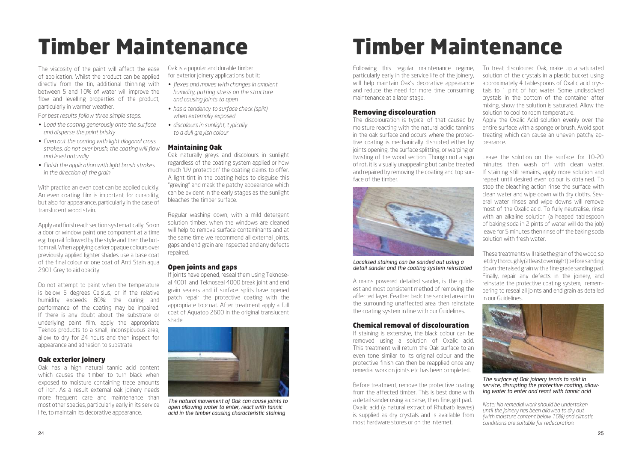# Timber Maintenance Timber Maintenance

The viscosity of the paint will affect the ease of application. Whilst the product can be applied directly from the tin, additional thinning with between 5 and 10% of water will improve the flow and levelling properties of the product, particularly in warmer weather.

F*or best results follow three simple steps:*

- *Load the coating generously onto the surface and disperse the paint briskly*
- *Even out the coating with light diagonal cross* strokes, do not over brush, the coating will flow  *and level naturally*
- *Finish the application with light brush strokes in the direction of the grain*

With practice an even coat can be applied quickly. An even coating film is important for durability. but also for appearance, particularly in the case of translucent wood stain.

Apply and finish each section systematically. So on a door or window paint one component at a time e.g. top rail followed by the style and then the bottom rail. When applying darker opaque colours over previously applied lighter shades use a base coat of the final colour or one coat of Anti Stain aqua 2901 Grey to aid opacity.

Do not attempt to paint when the temperature is below 5 degrees Celsius, or if the relative humidity exceeds 80%: the curing and performance of the coating may be impaired. If there is any doubt about the substrate or underlying paint film, apply the appropriate Teknos products to a small, inconspicuous area, allow to dry for 24 hours and then inspect for appearance and adhesion to substrate.

#### Oak exterior joinery

Oak has a high natural tannic acid content which causes the timber to turn black when exposed to moisture containing trace amounts of iron. As a result external oak joinery needs more frequent care and maintenance than most other species, particularly early in its service life, to maintain its decorative appearance.

Oak is a popular and durable timber for exterior joinery applications but it;

- flexes and moves with changes in ambient  *humidity, putting stress on the structure and causing joints to open*
- *has a tendency to surface check (split) when externally exposed*
- *discolours in sunlight, typically to a dull greyish colour*

#### Maintaining Oak

Oak naturally greys and discolours in sunlight regardless of the coating system applied or how much 'UV protection' the coating claims to offer. A light tint in the coating helps to disguise this "greying" and mask the patchy appearance which can be evident in the early stages as the sunlight bleaches the timber surface.

Regular washing down, with a mild detergent solution timber, when the windows are cleaned will help to remove surface contaminants and at the same time we recommend all external joints, gaps and end grain are inspected and any defects repaired.

#### Open joints and gaps

If joints have opened, reseal them using Teknoseal 4001 and Teknoseal 4000 break joint and end grain sealers and if surface splits have opened patch repair the protective coating with the appropriate topcoat. After treatment apply a full coat of Aquatop 2600 in the original translucent shade.



*The natural movement of Oak can cause joints to open allowing water to enter, react with tannic acid in the timber causing characteristic staining*

Following this regular maintenance regime, particularly early in the service life of the joinery, will help maintain Oak's decorative appearance and reduce the need for more time consuming maintenance at a later stage.

#### Removing discolouration

The discolouration is typical of that caused by moisture reacting with the natural acidic tannins in the oak surface and occurs where the protective coating is mechanically disrupted either by joints opening, the surface splitting, or warping or twisting of the wood section. Though not a sign of rot, it is visually unappealing but can be treated and repaired by removing the coating and top surface of the timber.



*Localised staining can be sanded out using a detail sander and the coating system reinstated*

A mains powered detailed sander, is the quickest and most consistent method of removing the affected layer. Feather back the sanded area into the surrounding unaffected area then reinstate the coating system in line with our Guidelines.

#### Chemical removal of discolouration

If staining is extensive, the black colour can be removed using a solution of Oxalic acid. This treatment will return the Oak surface to an even tone similar to its original colour and the protective finish can then be reapplied once any remedial work on joints etc has been completed.

Before treatment, remove the protective coating from the affected timber. This is best done with a detail sander using a coarse, then fine, grit pad. Oxalic acid (a natural extract of Rhubarb leaves) is supplied as dry crystals and is available from most hardware stores or on the internet.

To treat discoloured Oak, make up a saturated solution of the crystals in a plastic bucket using approximately 4 tablespoons of Oxalic acid crystals to 1 pint of hot water. Some undissolved crystals in the bottom of the container after mixing, show the solution is saturated. Allow the solution to cool to room temperature.

Apply the Oxalic Acid solution evenly over the entire surface with a sponge or brush. Avoid spot treating which can cause an uneven patchy appearance.

Leave the solution on the surface for 10-20 minutes then wash off with clean water. If staining still remains, apply more solution and repeat until desired even colour is obtained. To stop the bleaching action rinse the surface with clean water and wipe down with dry cloths. Several water rinses and wipe downs will remove most of the Oxalic acid. To fully neutralise, rinse with an alkaline solution (a heaped tablespoon of baking soda in 2 pints of water will do the job) leave for 5 minutes then rinse off the baking soda solution with fresh water.

These treatments will raise the grain of the wood, so let dry thoroughly (at least overnight) before sanding down the raised grain with a fine grade sanding pad. Finally, repair any defects in the joinery, and reinstate the protective coating system, remembering to reseal all joints and end grain as detailed in our Guidelines.



*The surface of Oak joinery tends to split in service, disrupting the protective coating, allowing water to enter and react with tannic acid*

*Note: No remedial work should be undertaken until the joinery has been allowed to dry out (with moisture content below 16%) and climatic conditions are suitable for redecoration.*